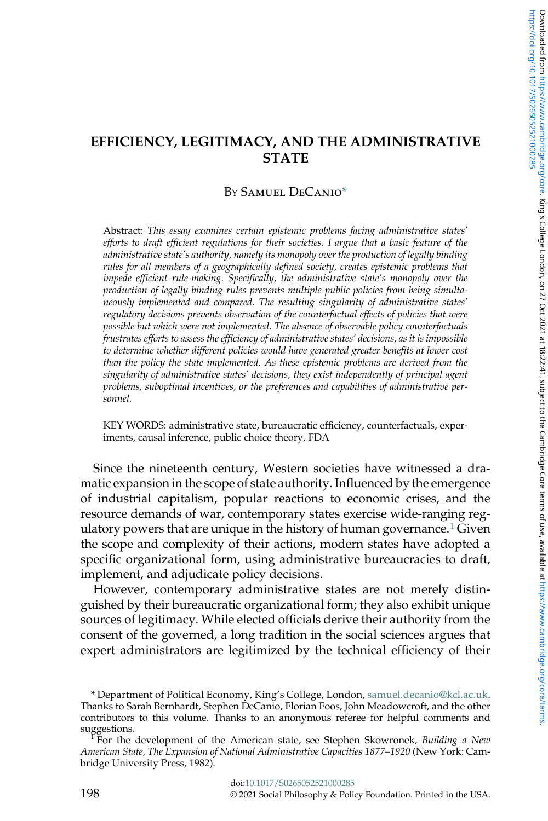# EFFICIENCY, LEGITIMACY, AND THE ADMINISTRATIVE STATE

# BY SAMUEL DECANIO<sup>\*</sup>

Abstract: *This essay examines certain epistemic problems facing administrative states*' *efforts to draft efficient regulations for their societies. I argue that a basic feature of the administrative state*'*s authority, namely its monopoly over the production of legally binding rules for all members of a geographically defined society, creates epistemic problems that impede efficient rule-making. Specifically, the administrative state*'*s monopoly over the production of legally binding rules prevents multiple public policies from being simultaneously implemented and compared. The resulting singularity of administrative states*' *regulatory decisions prevents observation of the counterfactual effects of policies that were possible but which were not implemented. The absence of observable policy counterfactuals frustrates efforts to assess the efficiency of administrative states*' *decisions, as it is impossible to determine whether different policies would have generated greater benefits at lower cost than the policy the state implemented. As these epistemic problems are derived from the singularity of administrative states*' *decisions, they exist independently of principal agent problems, suboptimal incentives, or the preferences and capabilities of administrative personnel.*

KEY WORDS: administrative state, bureaucratic efficiency, counterfactuals, experiments, causal inference, public choice theory, FDA

Since the nineteenth century, Western societies have witnessed a dramatic expansion in the scope of state authority. Influenced by the emergence of industrial capitalism, popular reactions to economic crises, and the resource demands of war, contemporary states exercise wide-ranging regulatory powers that are unique in the history of human governance.<sup>1</sup> Given the scope and complexity of their actions, modern states have adopted a specific organizational form, using administrative bureaucracies to draft, implement, and adjudicate policy decisions.

However, contemporary administrative states are not merely distinguished by their bureaucratic organizational form; they also exhibit unique sources of legitimacy. While elected officials derive their authority from the consent of the governed, a long tradition in the social sciences argues that expert administrators are legitimized by the technical efficiency of their

\* Department of Political Economy, King's College, London, [samuel.decanio@kcl.ac.uk.](mailto:samuel.decanio@kcl.ac.uk) Thanks to Sarah Bernhardt, Stephen DeCanio, Florian Foos, John Meadowcroft, and the other contributors to this volume. Thanks to an anonymous referee for helpful comments and suggestions.<br>For the

For the development of the American state, see Stephen Skowronek, *Building a New American State, The Expansion of National Administrative Capacities 1877*–*1920* (New York: Cambridge University Press, 1982).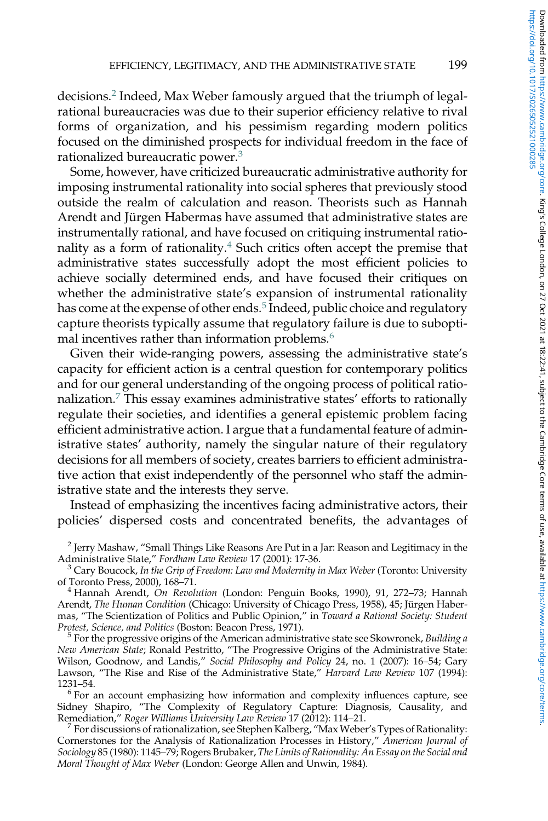decisions.<sup>2</sup> Indeed, Max Weber famously argued that the triumph of legalrational bureaucracies was due to their superior efficiency relative to rival forms of organization, and his pessimism regarding modern politics focused on the diminished prospects for individual freedom in the face of rationalized bureaucratic power.<sup>3</sup>

Some, however, have criticized bureaucratic administrative authority for imposing instrumental rationality into social spheres that previously stood outside the realm of calculation and reason. Theorists such as Hannah Arendt and Jürgen Habermas have assumed that administrative states are instrumentally rational, and have focused on critiquing instrumental rationality as a form of rationality. $4$  Such critics often accept the premise that administrative states successfully adopt the most efficient policies to achieve socially determined ends, and have focused their critiques on whether the administrative state's expansion of instrumental rationality has come at the expense of other ends.<sup>5</sup> Indeed, public choice and regulatory capture theorists typically assume that regulatory failure is due to suboptimal incentives rather than information problems.<sup>6</sup>

Given their wide-ranging powers, assessing the administrative state's capacity for efficient action is a central question for contemporary politics and for our general understanding of the ongoing process of political rationalization.<sup>7</sup> This essay examines administrative states' efforts to rationally regulate their societies, and identifies a general epistemic problem facing efficient administrative action. I argue that a fundamental feature of administrative states' authority, namely the singular nature of their regulatory decisions for all members of society, creates barriers to efficient administrative action that exist independently of the personnel who staff the administrative state and the interests they serve.

Instead of emphasizing the incentives facing administrative actors, their policies' dispersed costs and concentrated benefits, the advantages of

<sup>3</sup> Cary Boucock, *In the Grip of Freedom: Law and Modernity in Max Weber* (Toronto: University of Toronto Press, 2000), 168–71.

<sup>4</sup> Hannah Arendt, *On Revolution* (London: Penguin Books, 1990), 91, 272–73; Hannah Arendt, *The Human Condition* (Chicago: University of Chicago Press, 1958), 45; Jürgen Habermas, "The Scientization of Politics and Public Opinion," in *Toward a Rational Society: Student Protest, Science, and Politics* (Boston: Beacon Press, 1971).

5 For the progressive origins of the American administrative state see Skowronek, *Building a New American State*; Ronald Pestritto, "The Progressive Origins of the Administrative State: Wilson, Goodnow, and Landis," *Social Philosophy and Policy* 24, no. 1 (2007): 16–54; Gary Lawson, "The Rise and Rise of the Administrative State," *Harvard Law Review* 107 (1994): 1231–54.

<sup>6</sup> For an account emphasizing how information and complexity influences capture, see Sidney Shapiro, "The Complexity of Regulatory Capture: Diagnosis, Causality, and Remediation," *Roger Williams University Law Review* 17 (2012): 114–21.

7 For discussions of rationalization, see Stephen Kalberg, "MaxWeber's Types of Rationality: Cornerstones for the Analysis of Rationalization Processes in History," *American Journal of Sociology* 85 (1980): 1145–79; Rogers Brubaker, *The Limits of Rationality: An Essay on the Social and Moral Thought of Max Weber* (London: George Allen and Unwin, 1984).

 $^2$  Jerry Mashaw, "Small Things Like Reasons Are Put in a Jar: Reason and Legitimacy in the Administrative State," *Fordham Law Review* 17 (2001): 17-36.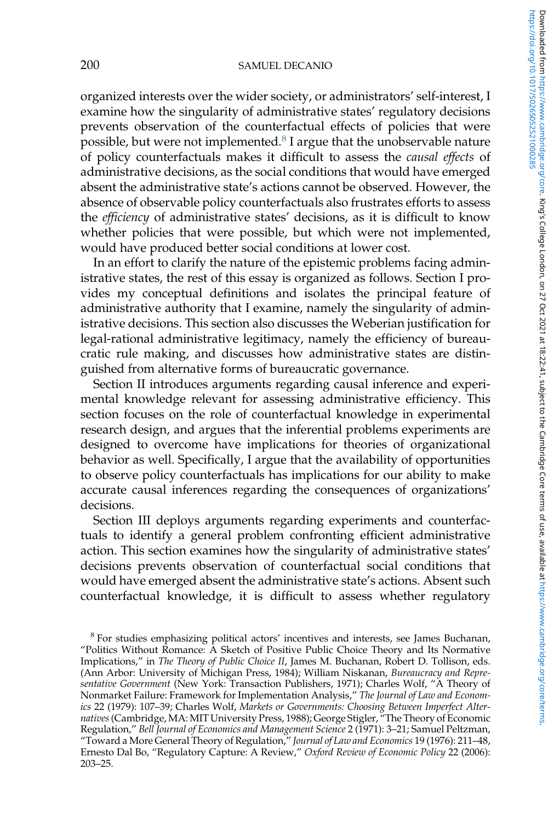organized interests over the wider society, or administrators' self-interest, I examine how the singularity of administrative states' regulatory decisions prevents observation of the counterfactual effects of policies that were possible, but were not implemented.<sup>8</sup> I argue that the unobservable nature of policy counterfactuals makes it difficult to assess the *causal effects* of administrative decisions, as the social conditions that would have emerged absent the administrative state's actions cannot be observed. However, the absence of observable policy counterfactuals also frustrates efforts to assess the *efficiency* of administrative states' decisions, as it is difficult to know whether policies that were possible, but which were not implemented, would have produced better social conditions at lower cost.

In an effort to clarify the nature of the epistemic problems facing administrative states, the rest of this essay is organized as follows. Section I provides my conceptual definitions and isolates the principal feature of administrative authority that I examine, namely the singularity of administrative decisions. This section also discusses the Weberian justification for legal-rational administrative legitimacy, namely the efficiency of bureaucratic rule making, and discusses how administrative states are distinguished from alternative forms of bureaucratic governance.

Section II introduces arguments regarding causal inference and experimental knowledge relevant for assessing administrative efficiency. This section focuses on the role of counterfactual knowledge in experimental research design, and argues that the inferential problems experiments are designed to overcome have implications for theories of organizational behavior as well. Specifically, I argue that the availability of opportunities to observe policy counterfactuals has implications for our ability to make accurate causal inferences regarding the consequences of organizations' decisions.

Section III deploys arguments regarding experiments and counterfactuals to identify a general problem confronting efficient administrative action. This section examines how the singularity of administrative states' decisions prevents observation of counterfactual social conditions that would have emerged absent the administrative state's actions. Absent such counterfactual knowledge, it is difficult to assess whether regulatory

<sup>&</sup>lt;sup>8</sup> For studies emphasizing political actors' incentives and interests, see James Buchanan, "Politics Without Romance: A Sketch of Positive Public Choice Theory and Its Normative Implications," in *The Theory of Public Choice II*, James M. Buchanan, Robert D. Tollison, eds. (Ann Arbor: University of Michigan Press, 1984); William Niskanan, *Bureaucracy and Representative Government* (New York: Transaction Publishers, 1971); Charles Wolf, "A Theory of Nonmarket Failure: Framework for Implementation Analysis," *The Journal of Law and Economics* 22 (1979): 107–39; Charles Wolf, *Markets or Governments: Choosing Between Imperfect Alternatives*(Cambridge, MA: MIT University Press, 1988); George Stigler, "The Theory of Economic Regulation," *Bell Journal of Economics and Management Science* 2 (1971): 3–21; Samuel Peltzman, "Toward a More General Theory of Regulation," *Journal of Law and Economics* 19 (1976): 211–48, Ernesto Dal Bo, "Regulatory Capture: A Review," *Oxford Review of Economic Policy* 22 (2006): 203–25.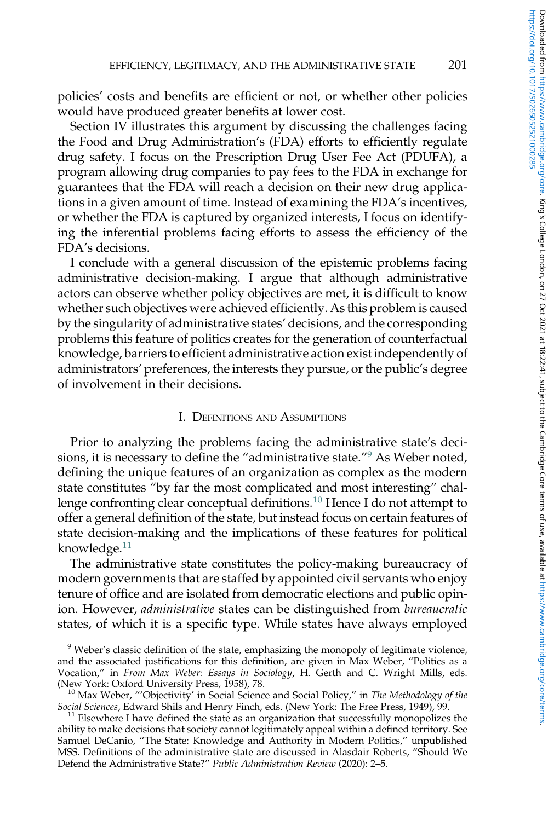policies' costs and benefits are efficient or not, or whether other policies would have produced greater benefits at lower cost.

Section IV illustrates this argument by discussing the challenges facing the Food and Drug Administration's (FDA) efforts to efficiently regulate drug safety. I focus on the Prescription Drug User Fee Act (PDUFA), a program allowing drug companies to pay fees to the FDA in exchange for guarantees that the FDA will reach a decision on their new drug applications in a given amount of time. Instead of examining the FDA's incentives, or whether the FDA is captured by organized interests, I focus on identifying the inferential problems facing efforts to assess the efficiency of the FDA's decisions.

I conclude with a general discussion of the epistemic problems facing administrative decision-making. I argue that although administrative actors can observe whether policy objectives are met, it is difficult to know whether such objectives were achieved efficiently. As this problem is caused by the singularity of administrative states' decisions, and the corresponding problems this feature of politics creates for the generation of counterfactual knowledge, barriers to efficient administrative action exist independently of administrators' preferences, the interests they pursue, or the public's degree of involvement in their decisions.

#### I. DEFINITIONS AND ASSUMPTIONS

Prior to analyzing the problems facing the administrative state's decisions, it is necessary to define the "administrative state." <sup>9</sup> As Weber noted, defining the unique features of an organization as complex as the modern state constitutes "by far the most complicated and most interesting" challenge confronting clear conceptual definitions.<sup>10</sup> Hence I do not attempt to offer a general definition of the state, but instead focus on certain features of state decision-making and the implications of these features for political knowledge.<sup>11</sup>

The administrative state constitutes the policy-making bureaucracy of modern governments that are staffed by appointed civil servants who enjoy tenure of office and are isolated from democratic elections and public opinion. However, *administrative* states can be distinguished from *bureaucratic* states, of which it is a specific type. While states have always employed

<sup>&</sup>lt;sup>9</sup> Weber's classic definition of the state, emphasizing the monopoly of legitimate violence, and the associated justifications for this definition, are given in Max Weber, "Politics as a Vocation," in *From Max Weber: Essays in Sociology*, H. Gerth and C. Wright Mills, eds. (New York: Oxford University Press, 1958), 78.

<sup>10</sup> Max Weber, "'Objectivity' in Social Science and Social Policy," in *The Methodology of the Social Sciences*, Edward Shils and Henry Finch, eds. (New York: The Free Press, 1949), 99.

 $11$  Elsewhere I have defined the state as an organization that successfully monopolizes the ability to make decisions that society cannot legitimately appeal within a defined territory. See Samuel DeCanio, "The State: Knowledge and Authority in Modern Politics," unpublished MSS. Definitions of the administrative state are discussed in Alasdair Roberts, "Should We Defend the Administrative State?" *Public Administration Review* (2020): 2–5.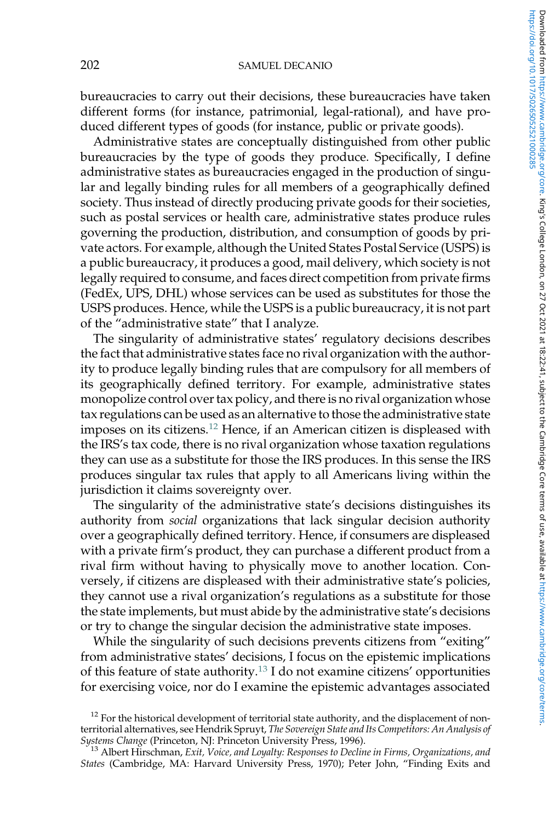#### 202 SAMUEL DECANIO

bureaucracies to carry out their decisions, these bureaucracies have taken different forms (for instance, patrimonial, legal-rational), and have produced different types of goods (for instance, public or private goods).

Administrative states are conceptually distinguished from other public bureaucracies by the type of goods they produce. Specifically, I define administrative states as bureaucracies engaged in the production of singular and legally binding rules for all members of a geographically defined society. Thus instead of directly producing private goods for their societies, such as postal services or health care, administrative states produce rules governing the production, distribution, and consumption of goods by private actors. For example, although the United States Postal Service (USPS) is a public bureaucracy, it produces a good, mail delivery, which society is not legally required to consume, and faces direct competition from private firms (FedEx, UPS, DHL) whose services can be used as substitutes for those the USPS produces. Hence, while the USPS is a public bureaucracy, it is not part of the "administrative state" that I analyze.

The singularity of administrative states' regulatory decisions describes the fact that administrative states face no rival organization with the authority to produce legally binding rules that are compulsory for all members of its geographically defined territory. For example, administrative states monopolize control over tax policy, and there is no rival organization whose tax regulations can be used as an alternative to those the administrative state imposes on its citizens.<sup>12</sup> Hence, if an American citizen is displeased with the IRS's tax code, there is no rival organization whose taxation regulations they can use as a substitute for those the IRS produces. In this sense the IRS produces singular tax rules that apply to all Americans living within the jurisdiction it claims sovereignty over.

The singularity of the administrative state's decisions distinguishes its authority from *social* organizations that lack singular decision authority over a geographically defined territory. Hence, if consumers are displeased with a private firm's product, they can purchase a different product from a rival firm without having to physically move to another location. Conversely, if citizens are displeased with their administrative state's policies, they cannot use a rival organization's regulations as a substitute for those the state implements, but must abide by the administrative state's decisions or try to change the singular decision the administrative state imposes.

While the singularity of such decisions prevents citizens from "exiting" from administrative states' decisions, I focus on the epistemic implications of this feature of state authority.<sup>13</sup> I do not examine citizens' opportunities for exercising voice, nor do I examine the epistemic advantages associated

 $12$  For the historical development of territorial state authority, and the displacement of nonterritorial alternatives, see Hendrik Spruyt, *The Sovereign State and Its Competitors: An Analysis of Systems Change* (Princeton, NJ: Princeton University Press, 1996).

<sup>13</sup> Albert Hirschman, *Exit, Voice, and Loyalty: Responses to Decline in Firms, Organizations, and States* (Cambridge, MA: Harvard University Press, 1970); Peter John, "Finding Exits and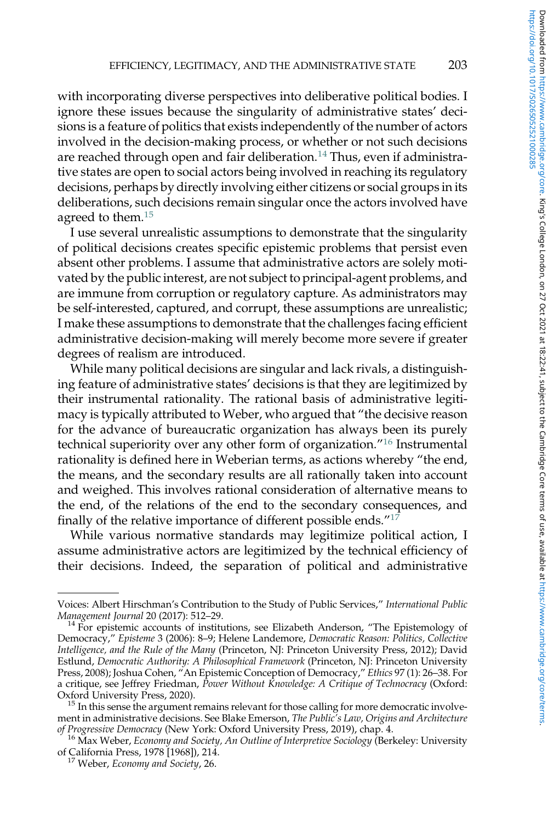with incorporating diverse perspectives into deliberative political bodies. I ignore these issues because the singularity of administrative states' decisions is a feature of politics that exists independently of the number of actors involved in the decision-making process, or whether or not such decisions are reached through open and fair deliberation.<sup>14</sup> Thus, even if administrative states are open to social actors being involved in reaching its regulatory decisions, perhaps by directly involving either citizens or social groups in its deliberations, such decisions remain singular once the actors involved have agreed to them.<sup>15</sup>

I use several unrealistic assumptions to demonstrate that the singularity of political decisions creates specific epistemic problems that persist even absent other problems. I assume that administrative actors are solely motivated by the public interest, are not subject to principal-agent problems, and are immune from corruption or regulatory capture. As administrators may be self-interested, captured, and corrupt, these assumptions are unrealistic; I make these assumptions to demonstrate that the challenges facing efficient administrative decision-making will merely become more severe if greater degrees of realism are introduced.

While many political decisions are singular and lack rivals, a distinguishing feature of administrative states' decisions is that they are legitimized by their instrumental rationality. The rational basis of administrative legitimacy is typically attributed to Weber, who argued that "the decisive reason for the advance of bureaucratic organization has always been its purely technical superiority over any other form of organization." <sup>16</sup> Instrumental rationality is defined here in Weberian terms, as actions whereby "the end, the means, and the secondary results are all rationally taken into account and weighed. This involves rational consideration of alternative means to the end, of the relations of the end to the secondary consequences, and finally of the relative importance of different possible ends." $1^7$ 

While various normative standards may legitimize political action, I assume administrative actors are legitimized by the technical efficiency of their decisions. Indeed, the separation of political and administrative

Voices: Albert Hirschman's Contribution to the Study of Public Services," *International Public Management Journal* 20 (2017): 512–29.

<sup>&</sup>lt;sup>14</sup> For epistemic accounts of institutions, see Elizabeth Anderson, "The Epistemology of Democracy," *Episteme* 3 (2006): 8–9; Helene Landemore, *Democratic Reason: Politics, Collective Intelligence, and the Rule of the Many* (Princeton, NJ: Princeton University Press, 2012); David Estlund, *Democratic Authority: A Philosophical Framework* (Princeton, NJ: Princeton University Press, 2008); Joshua Cohen, "An Epistemic Conception of Democracy," *Ethics* 97 (1): 26–38. For a critique, see Jeffrey Friedman, *Power Without Knowledge: A Critique of Technocracy* (Oxford: Oxford University Press, 2020).

 $15$  In this sense the argument remains relevant for those calling for more democratic involvement in administrative decisions. See Blake Emerson, *The Public*'*s Law, Origins and Architecture of Progressive Democracy* (New York: Oxford University Press, 2019), chap. 4.

<sup>16</sup> Max Weber, *Economy and Society, An Outline of Interpretive Sociology* (Berkeley: University

of California Press, 1978 [1968]), 214. <sup>17</sup> Weber, *Economy and Society*, 26.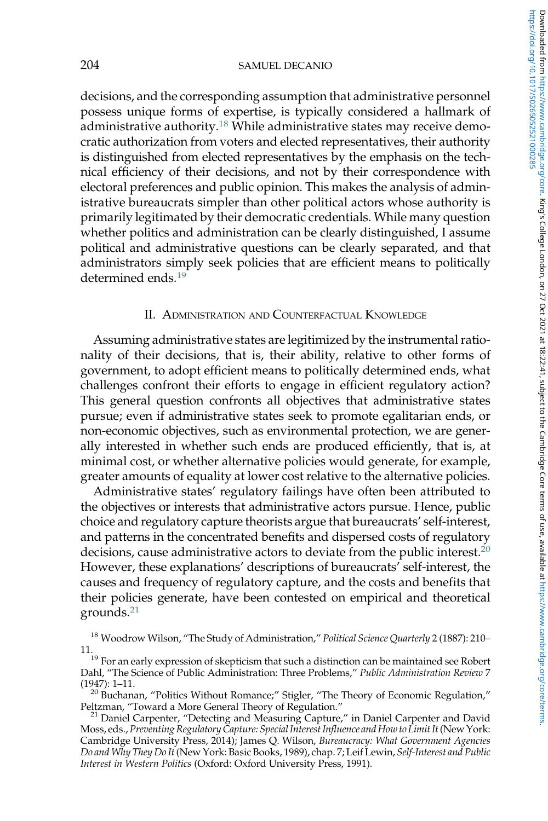#### 204 SAMUEL DECANIO

decisions, and the corresponding assumption that administrative personnel possess unique forms of expertise, is typically considered a hallmark of administrative authority.<sup>18</sup> While administrative states may receive democratic authorization from voters and elected representatives, their authority is distinguished from elected representatives by the emphasis on the technical efficiency of their decisions, and not by their correspondence with electoral preferences and public opinion. This makes the analysis of administrative bureaucrats simpler than other political actors whose authority is primarily legitimated by their democratic credentials. While many question whether politics and administration can be clearly distinguished, I assume political and administrative questions can be clearly separated, and that administrators simply seek policies that are efficient means to politically determined ends.<sup>19</sup>

## II. ADMINISTRATION AND COUNTERFACTUAL KNOWLEDGE

Assuming administrative states are legitimized by the instrumental rationality of their decisions, that is, their ability, relative to other forms of government, to adopt efficient means to politically determined ends, what challenges confront their efforts to engage in efficient regulatory action? This general question confronts all objectives that administrative states pursue; even if administrative states seek to promote egalitarian ends, or non-economic objectives, such as environmental protection, we are generally interested in whether such ends are produced efficiently, that is, at minimal cost, or whether alternative policies would generate, for example, greater amounts of equality at lower cost relative to the alternative policies.

Administrative states' regulatory failings have often been attributed to the objectives or interests that administrative actors pursue. Hence, public choice and regulatory capture theorists argue that bureaucrats' self-interest, and patterns in the concentrated benefits and dispersed costs of regulatory decisions, cause administrative actors to deviate from the public interest.<sup>20</sup> However, these explanations' descriptions of bureaucrats' self-interest, the causes and frequency of regulatory capture, and the costs and benefits that their policies generate, have been contested on empirical and theoretical grounds.<sup>21</sup>

<sup>18</sup> Woodrow Wilson, "The Study of Administration," *Political Science Quarterly* 2 (1887): 210– 11. <sup>19</sup> For an early expression of skepticism that such a distinction can be maintained see Robert

 $^{20}$  Buchanan, "Politics Without Romance;" Stigler, "The Theory of Economic Regulation," Peltzman, "Toward a More General Theory of Regulation."

Dahl, "The Science of Public Administration: Three Problems," *Public Administration Review* 7 (1947): 1–11.

 $21$  Daniel Carpenter, "Detecting and Measuring Capture," in Daniel Carpenter and David Moss, eds., *Preventing Regulatory Capture: Special Interest Influence and How to Limit It*(New York: Cambridge University Press, 2014); James Q. Wilson, *Bureaucracy: What Government Agencies Do and Why They Do It* (New York: Basic Books, 1989), chap. 7; Leif Lewin, *Self-Interest and Public Interest in Western Politics* (Oxford: Oxford University Press, 1991).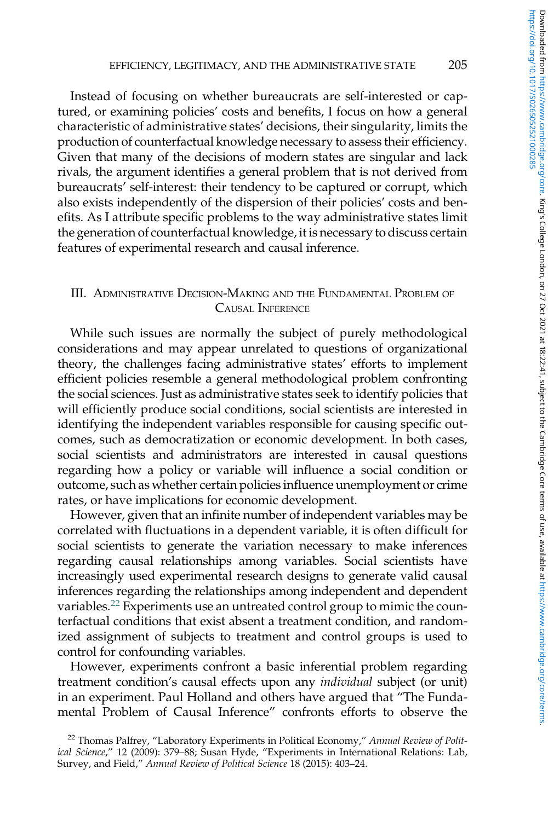Instead of focusing on whether bureaucrats are self-interested or captured, or examining policies' costs and benefits, I focus on how a general characteristic of administrative states' decisions, their singularity, limits the production of counterfactual knowledge necessary to assess their efficiency. Given that many of the decisions of modern states are singular and lack rivals, the argument identifies a general problem that is not derived from bureaucrats' self-interest: their tendency to be captured or corrupt, which also exists independently of the dispersion of their policies' costs and benefits. As I attribute specific problems to the way administrative states limit the generation of counterfactual knowledge, it is necessary to discuss certain features of experimental research and causal inference.

# III. ADMINISTRATIVE DECISION-MAKING AND THE FUNDAMENTAL PROBLEM OF CAUSAL INFERENCE

While such issues are normally the subject of purely methodological considerations and may appear unrelated to questions of organizational theory, the challenges facing administrative states' efforts to implement efficient policies resemble a general methodological problem confronting the social sciences. Just as administrative states seek to identify policies that will efficiently produce social conditions, social scientists are interested in identifying the independent variables responsible for causing specific outcomes, such as democratization or economic development. In both cases, social scientists and administrators are interested in causal questions regarding how a policy or variable will influence a social condition or outcome, such as whether certain policies influence unemployment or crime rates, or have implications for economic development.

However, given that an infinite number of independent variables may be correlated with fluctuations in a dependent variable, it is often difficult for social scientists to generate the variation necessary to make inferences regarding causal relationships among variables. Social scientists have increasingly used experimental research designs to generate valid causal inferences regarding the relationships among independent and dependent variables.<sup>22</sup> Experiments use an untreated control group to mimic the counterfactual conditions that exist absent a treatment condition, and randomized assignment of subjects to treatment and control groups is used to control for confounding variables.

However, experiments confront a basic inferential problem regarding treatment condition's causal effects upon any *individual* subject (or unit) in an experiment. Paul Holland and others have argued that "The Fundamental Problem of Causal Inference" confronts efforts to observe the

<sup>22</sup> Thomas Palfrey, "Laboratory Experiments in Political Economy," *Annual Review of Political Science*," 12 (2009): 379–88; Susan Hyde, "Experiments in International Relations: Lab, Survey, and Field," *Annual Review of Political Science* 18 (2015): 403–24.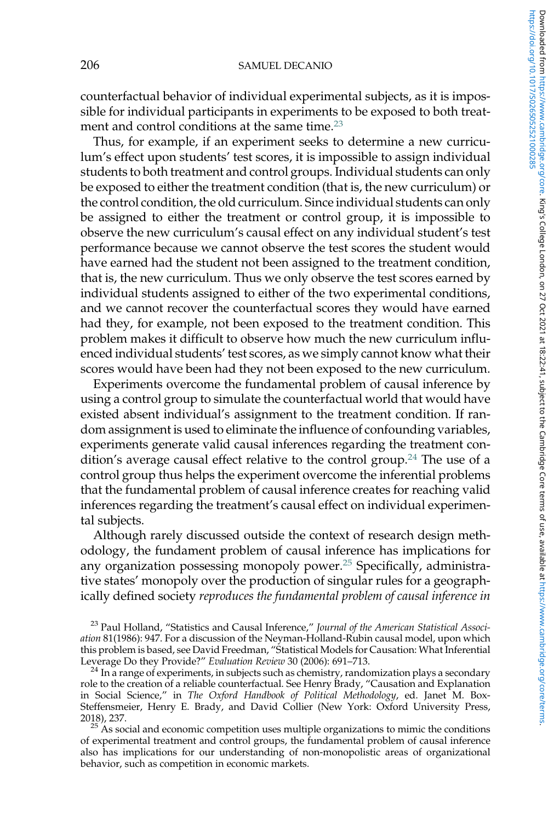counterfactual behavior of individual experimental subjects, as it is impossible for individual participants in experiments to be exposed to both treatment and control conditions at the same time.<sup>23</sup>

Thus, for example, if an experiment seeks to determine a new curriculum's effect upon students' test scores, it is impossible to assign individual students to both treatment and control groups. Individual students can only be exposed to either the treatment condition (that is, the new curriculum) or the control condition, the old curriculum. Since individual students can only be assigned to either the treatment or control group, it is impossible to observe the new curriculum's causal effect on any individual student's test performance because we cannot observe the test scores the student would have earned had the student not been assigned to the treatment condition, that is, the new curriculum. Thus we only observe the test scores earned by individual students assigned to either of the two experimental conditions, and we cannot recover the counterfactual scores they would have earned had they, for example, not been exposed to the treatment condition. This problem makes it difficult to observe how much the new curriculum influenced individual students' test scores, as we simply cannot know what their scores would have been had they not been exposed to the new curriculum.

Experiments overcome the fundamental problem of causal inference by using a control group to simulate the counterfactual world that would have existed absent individual's assignment to the treatment condition. If random assignment is used to eliminate the influence of confounding variables, experiments generate valid causal inferences regarding the treatment condition's average causal effect relative to the control group.<sup>24</sup> The use of a control group thus helps the experiment overcome the inferential problems that the fundamental problem of causal inference creates for reaching valid inferences regarding the treatment's causal effect on individual experimental subjects.

Although rarely discussed outside the context of research design methodology, the fundament problem of causal inference has implications for any organization possessing monopoly power.<sup>25</sup> Specifically, administrative states' monopoly over the production of singular rules for a geographically defined society *reproduces the fundamental problem of causal inference in*

<sup>23</sup> Paul Holland, "Statistics and Causal Inference," *Journal of the American Statistical Association* 81(1986): 947. For a discussion of the Neyman-Holland-Rubin causal model, upon which this problem is based, see David Freedman, "Statistical Models for Causation: What Inferential Leverage Do they Provide?" *Evaluation Review* 30 (2006): 691–713.

 $^{24}$  In a range of experiments, in subjects such as chemistry, randomization plays a secondary role to the creation of a reliable counterfactual. See Henry Brady, "Causation and Explanation in Social Science," in *The Oxford Handbook of Political Methodology*, ed. Janet M. Box-Steffensmeier, Henry E. Brady, and David Collier (New York: Oxford University Press, 2018), 237.

 $25$  As social and economic competition uses multiple organizations to mimic the conditions of experimental treatment and control groups, the fundamental problem of causal inference also has implications for our understanding of non-monopolistic areas of organizational behavior, such as competition in economic markets.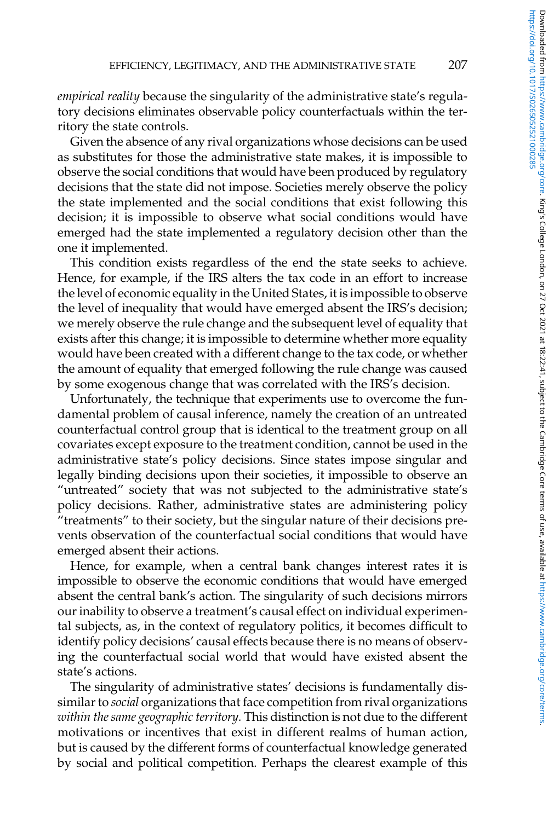*empirical reality* because the singularity of the administrative state's regulatory decisions eliminates observable policy counterfactuals within the territory the state controls.

Given the absence of any rival organizations whose decisions can be used as substitutes for those the administrative state makes, it is impossible to observe the social conditions that would have been produced by regulatory decisions that the state did not impose. Societies merely observe the policy the state implemented and the social conditions that exist following this decision; it is impossible to observe what social conditions would have emerged had the state implemented a regulatory decision other than the one it implemented.

This condition exists regardless of the end the state seeks to achieve. Hence, for example, if the IRS alters the tax code in an effort to increase the level of economic equality in the United States, it is impossible to observe the level of inequality that would have emerged absent the IRS's decision; we merely observe the rule change and the subsequent level of equality that exists after this change; it is impossible to determine whether more equality would have been created with a different change to the tax code, or whether the amount of equality that emerged following the rule change was caused by some exogenous change that was correlated with the IRS's decision.

Unfortunately, the technique that experiments use to overcome the fundamental problem of causal inference, namely the creation of an untreated counterfactual control group that is identical to the treatment group on all covariates except exposure to the treatment condition, cannot be used in the administrative state's policy decisions. Since states impose singular and legally binding decisions upon their societies, it impossible to observe an "untreated" society that was not subjected to the administrative state's policy decisions. Rather, administrative states are administering policy "treatments" to their society, but the singular nature of their decisions prevents observation of the counterfactual social conditions that would have emerged absent their actions.

Hence, for example, when a central bank changes interest rates it is impossible to observe the economic conditions that would have emerged absent the central bank's action. The singularity of such decisions mirrors our inability to observe a treatment's causal effect on individual experimental subjects, as, in the context of regulatory politics, it becomes difficult to identify policy decisions' causal effects because there is no means of observing the counterfactual social world that would have existed absent the state's actions.

The singularity of administrative states' decisions is fundamentally dissimilar to *social* organizations that face competition from rival organizations *within the same geographic territory.* This distinction is not due to the different motivations or incentives that exist in different realms of human action, but is caused by the different forms of counterfactual knowledge generated by social and political competition. Perhaps the clearest example of this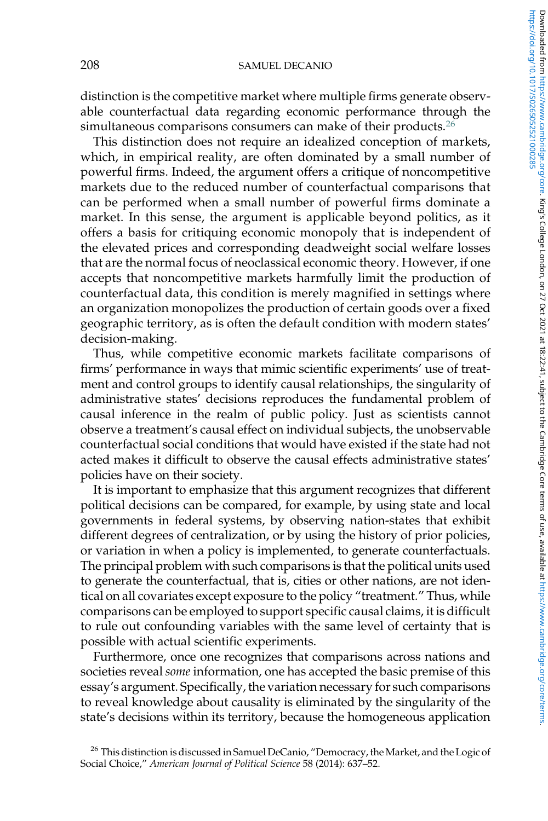distinction is the competitive market where multiple firms generate observable counterfactual data regarding economic performance through the simultaneous comparisons consumers can make of their products.<sup>26</sup>

This distinction does not require an idealized conception of markets, which, in empirical reality, are often dominated by a small number of powerful firms. Indeed, the argument offers a critique of noncompetitive markets due to the reduced number of counterfactual comparisons that can be performed when a small number of powerful firms dominate a market. In this sense, the argument is applicable beyond politics, as it offers a basis for critiquing economic monopoly that is independent of the elevated prices and corresponding deadweight social welfare losses that are the normal focus of neoclassical economic theory. However, if one accepts that noncompetitive markets harmfully limit the production of counterfactual data, this condition is merely magnified in settings where an organization monopolizes the production of certain goods over a fixed geographic territory, as is often the default condition with modern states' decision-making.

Thus, while competitive economic markets facilitate comparisons of firms' performance in ways that mimic scientific experiments' use of treatment and control groups to identify causal relationships, the singularity of administrative states' decisions reproduces the fundamental problem of causal inference in the realm of public policy. Just as scientists cannot observe a treatment's causal effect on individual subjects, the unobservable counterfactual social conditions that would have existed if the state had not acted makes it difficult to observe the causal effects administrative states' policies have on their society.

It is important to emphasize that this argument recognizes that different political decisions can be compared, for example, by using state and local governments in federal systems, by observing nation-states that exhibit different degrees of centralization, or by using the history of prior policies, or variation in when a policy is implemented, to generate counterfactuals. The principal problem with such comparisons is that the political units used to generate the counterfactual, that is, cities or other nations, are not identical on all covariates except exposure to the policy "treatment." Thus, while comparisons can be employed to support specific causal claims, it is difficult to rule out confounding variables with the same level of certainty that is possible with actual scientific experiments.

Furthermore, once one recognizes that comparisons across nations and societies reveal *some* information, one has accepted the basic premise of this essay's argument. Specifically, the variation necessary for such comparisons to reveal knowledge about causality is eliminated by the singularity of the state's decisions within its territory, because the homogeneous application

<sup>&</sup>lt;sup>26</sup> This distinction is discussed in Samuel DeCanio, "Democracy, the Market, and the Logic of Social Choice," *American Journal of Political Science* 58 (2014): 637–52.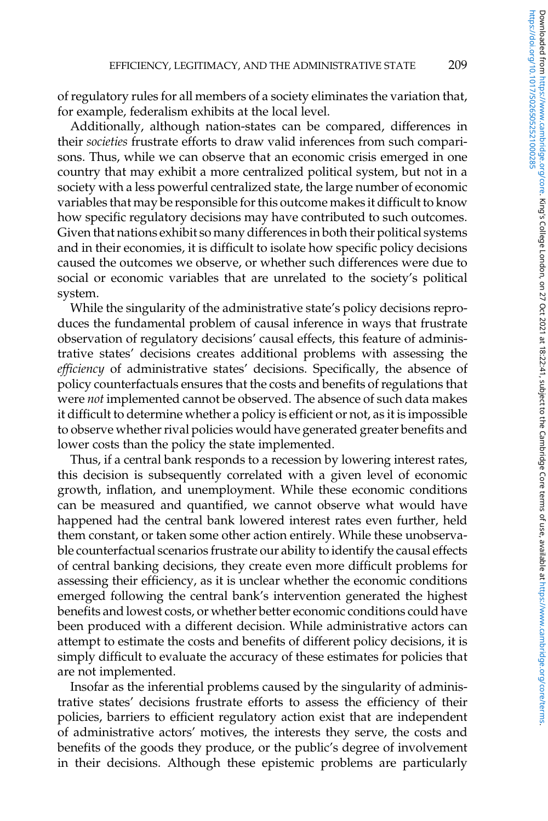of regulatory rules for all members of a society eliminates the variation that, for example, federalism exhibits at the local level.

Additionally, although nation-states can be compared, differences in their *societies* frustrate efforts to draw valid inferences from such comparisons. Thus, while we can observe that an economic crisis emerged in one country that may exhibit a more centralized political system, but not in a society with a less powerful centralized state, the large number of economic variables that may be responsible for this outcome makes it difficult to know how specific regulatory decisions may have contributed to such outcomes. Given that nations exhibit so many differences in both their political systems and in their economies, it is difficult to isolate how specific policy decisions caused the outcomes we observe, or whether such differences were due to social or economic variables that are unrelated to the society's political system.

While the singularity of the administrative state's policy decisions reproduces the fundamental problem of causal inference in ways that frustrate observation of regulatory decisions' causal effects, this feature of administrative states' decisions creates additional problems with assessing the *efficiency* of administrative states' decisions. Specifically, the absence of policy counterfactuals ensures that the costs and benefits of regulations that were *not* implemented cannot be observed. The absence of such data makes it difficult to determine whether a policy is efficient or not, as it is impossible to observe whether rival policies would have generated greater benefits and lower costs than the policy the state implemented.

Thus, if a central bank responds to a recession by lowering interest rates, this decision is subsequently correlated with a given level of economic growth, inflation, and unemployment. While these economic conditions can be measured and quantified, we cannot observe what would have happened had the central bank lowered interest rates even further, held them constant, or taken some other action entirely. While these unobservable counterfactual scenarios frustrate our ability to identify the causal effects of central banking decisions, they create even more difficult problems for assessing their efficiency, as it is unclear whether the economic conditions emerged following the central bank's intervention generated the highest benefits and lowest costs, or whether better economic conditions could have been produced with a different decision. While administrative actors can attempt to estimate the costs and benefits of different policy decisions, it is simply difficult to evaluate the accuracy of these estimates for policies that are not implemented.

Insofar as the inferential problems caused by the singularity of administrative states' decisions frustrate efforts to assess the efficiency of their policies, barriers to efficient regulatory action exist that are independent of administrative actors' motives, the interests they serve, the costs and benefits of the goods they produce, or the public's degree of involvement in their decisions. Although these epistemic problems are particularly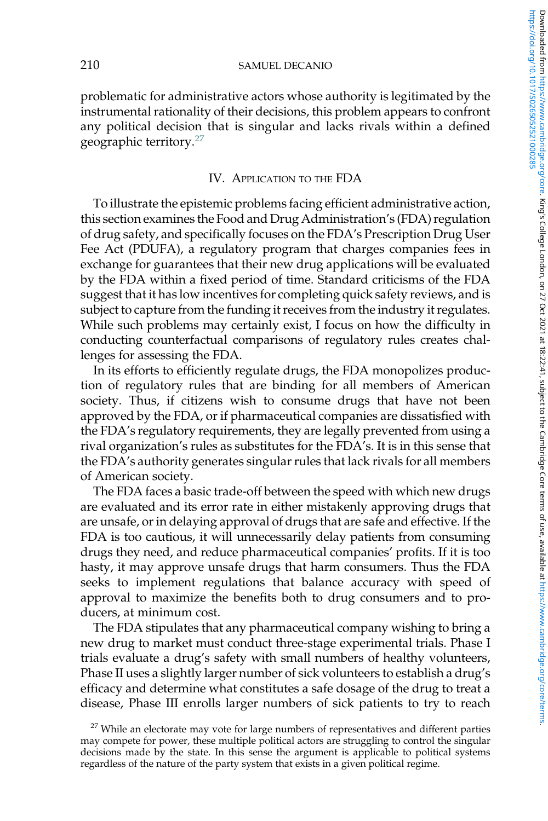problematic for administrative actors whose authority is legitimated by the instrumental rationality of their decisions, this problem appears to confront any political decision that is singular and lacks rivals within a defined geographic territory.<sup>27</sup>

## IV. APPLICATION TO THE FDA

To illustrate the epistemic problems facing efficient administrative action, this section examines the Food and Drug Administration's (FDA) regulation of drug safety, and specifically focuses on the FDA's Prescription Drug User Fee Act (PDUFA), a regulatory program that charges companies fees in exchange for guarantees that their new drug applications will be evaluated by the FDA within a fixed period of time. Standard criticisms of the FDA suggest that it has low incentives for completing quick safety reviews, and is subject to capture from the funding it receives from the industry it regulates. While such problems may certainly exist, I focus on how the difficulty in conducting counterfactual comparisons of regulatory rules creates challenges for assessing the FDA.

In its efforts to efficiently regulate drugs, the FDA monopolizes production of regulatory rules that are binding for all members of American society. Thus, if citizens wish to consume drugs that have not been approved by the FDA, or if pharmaceutical companies are dissatisfied with the FDA's regulatory requirements, they are legally prevented from using a rival organization's rules as substitutes for the FDA's. It is in this sense that the FDA's authority generates singular rules that lack rivals for all members of American society.

The FDA faces a basic trade-off between the speed with which new drugs are evaluated and its error rate in either mistakenly approving drugs that are unsafe, or in delaying approval of drugs that are safe and effective. If the FDA is too cautious, it will unnecessarily delay patients from consuming drugs they need, and reduce pharmaceutical companies' profits. If it is too hasty, it may approve unsafe drugs that harm consumers. Thus the FDA seeks to implement regulations that balance accuracy with speed of approval to maximize the benefits both to drug consumers and to producers, at minimum cost.

The FDA stipulates that any pharmaceutical company wishing to bring a new drug to market must conduct three-stage experimental trials. Phase I trials evaluate a drug's safety with small numbers of healthy volunteers, Phase II uses a slightly larger number of sick volunteers to establish a drug's efficacy and determine what constitutes a safe dosage of the drug to treat a disease, Phase III enrolls larger numbers of sick patients to try to reach

 $27$  While an electorate may vote for large numbers of representatives and different parties may compete for power, these multiple political actors are struggling to control the singular decisions made by the state. In this sense the argument is applicable to political systems regardless of the nature of the party system that exists in a given political regime.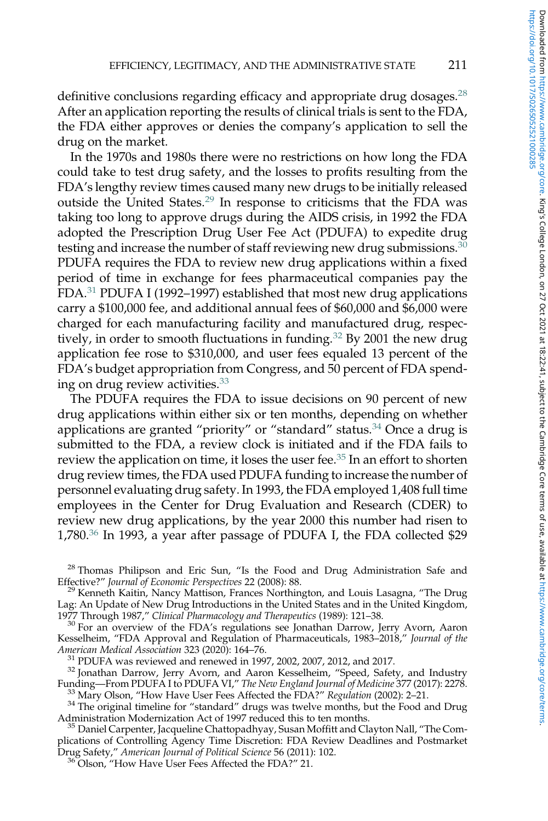definitive conclusions regarding efficacy and appropriate drug dosages.<sup>28</sup> After an application reporting the results of clinical trials is sent to the FDA, the FDA either approves or denies the company's application to sell the drug on the market.

In the 1970s and 1980s there were no restrictions on how long the FDA could take to test drug safety, and the losses to profits resulting from the FDA's lengthy review times caused many new drugs to be initially released outside the United States.<sup>29</sup> In response to criticisms that the FDA was taking too long to approve drugs during the AIDS crisis, in 1992 the FDA adopted the Prescription Drug User Fee Act (PDUFA) to expedite drug testing and increase the number of staff reviewing new drug submissions.<sup>30</sup> PDUFA requires the FDA to review new drug applications within a fixed period of time in exchange for fees pharmaceutical companies pay the FDA.<sup>31</sup> PDUFA I (1992–1997) established that most new drug applications carry a \$100,000 fee, and additional annual fees of \$60,000 and \$6,000 were charged for each manufacturing facility and manufactured drug, respectively, in order to smooth fluctuations in funding.<sup>32</sup> By 2001 the new drug application fee rose to \$310,000, and user fees equaled 13 percent of the FDA's budget appropriation from Congress, and 50 percent of FDA spending on drug review activities.<sup>33</sup>

The PDUFA requires the FDA to issue decisions on 90 percent of new drug applications within either six or ten months, depending on whether applications are granted "priority" or "standard" status.<sup>34</sup> Once a drug is submitted to the FDA, a review clock is initiated and if the FDA fails to review the application on time, it loses the user fee.<sup>35</sup> In an effort to shorten drug review times, the FDA used PDUFA funding to increase the number of personnel evaluating drug safety. In 1993, the FDA employed 1,408 full time employees in the Center for Drug Evaluation and Research (CDER) to review new drug applications, by the year 2000 this number had risen to 1,780.<sup>36</sup> In 1993, a year after passage of PDUFA I, the FDA collected \$29

<sup>28</sup> Thomas Philipson and Eric Sun, "Is the Food and Drug Administration Safe and Effective?" *Journal of Economic Perspectives* 22 (2008): 88.

<sup>29</sup> Kenneth Kaitin, Nancy Mattison, Frances Northington, and Louis Lasagna, "The Drug Lag: An Update of New Drug Introductions in the United States and in the United Kingdom, 1977 Through 1987," *Clinical Pharmacology and Therapeutics* (1989): 121–38.

<sup>30</sup> For an overview of the FDA's regulations see Jonathan Darrow, Jerry Avorn, Aaron Kesselheim, "FDA Approval and Regulation of Pharmaceuticals, 1983–2018," *Journal of the American Medical Association* 323 (2020): 164–76.

 $31$  PDUFA was reviewed and renewed in 1997, 2002, 2007, 2012, and 2017.

<sup>32</sup> Jonathan Darrow, Jerry Avorn, and Aaron Kesselheim, "Speed, Safety, and Industry Funding—From PDUFA I to PDUFA VI," *The New England Journal of Medicine* 377 (2017): 2278. <sup>33</sup> Mary Olson, "How Have User Fees Affected the FDA?" *Regulation* (2002): 2–21.

 $34$  The original timeline for "standard" drugs was twelve months, but the Food and Drug Administration Modernization Act of 1997 reduced this to ten months.

<sup>35</sup> Daniel Carpenter, Jacqueline Chattopadhyay, Susan Moffitt and Clayton Nall, "The Complications of Controlling Agency Time Discretion: FDA Review Deadlines and Postmarket Drug Safety," *American Journal of Political Science* 56 (2011): 102.

<sup>36</sup> Olson, "How Have User Fees Affected the FDA?" 21.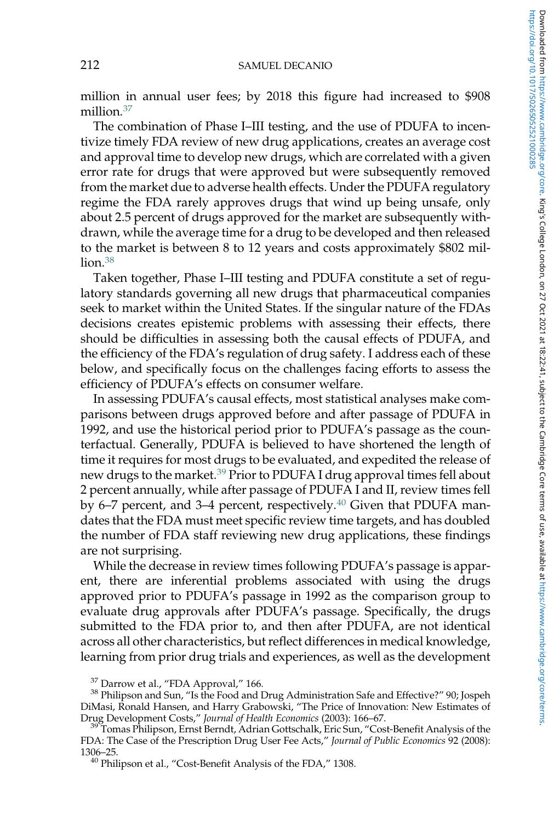million in annual user fees; by 2018 this figure had increased to \$908 million.<sup>37</sup>

The combination of Phase I–III testing, and the use of PDUFA to incentivize timely FDA review of new drug applications, creates an average cost and approval time to develop new drugs, which are correlated with a given error rate for drugs that were approved but were subsequently removed from the market due to adverse health effects. Under the PDUFA regulatory regime the FDA rarely approves drugs that wind up being unsafe, only about 2.5 percent of drugs approved for the market are subsequently withdrawn, while the average time for a drug to be developed and then released to the market is between 8 to 12 years and costs approximately \$802 mil- $\ln 38$ 

Taken together, Phase I–III testing and PDUFA constitute a set of regulatory standards governing all new drugs that pharmaceutical companies seek to market within the United States. If the singular nature of the FDAs decisions creates epistemic problems with assessing their effects, there should be difficulties in assessing both the causal effects of PDUFA, and the efficiency of the FDA's regulation of drug safety. I address each of these below, and specifically focus on the challenges facing efforts to assess the efficiency of PDUFA's effects on consumer welfare.

In assessing PDUFA's causal effects, most statistical analyses make comparisons between drugs approved before and after passage of PDUFA in 1992, and use the historical period prior to PDUFA's passage as the counterfactual. Generally, PDUFA is believed to have shortened the length of time it requires for most drugs to be evaluated, and expedited the release of new drugs to the market.<sup>39</sup> Prior to PDUFA I drug approval times fell about 2 percent annually, while after passage of PDUFA I and II, review times fell by 6–7 percent, and 3–4 percent, respectively. $40$  Given that PDUFA mandates that the FDA must meet specific review time targets, and has doubled the number of FDA staff reviewing new drug applications, these findings are not surprising.

While the decrease in review times following PDUFA's passage is apparent, there are inferential problems associated with using the drugs approved prior to PDUFA's passage in 1992 as the comparison group to evaluate drug approvals after PDUFA's passage. Specifically, the drugs submitted to the FDA prior to, and then after PDUFA, are not identical across all other characteristics, but reflect differences in medical knowledge, learning from prior drug trials and experiences, as well as the development

 $37$  Darrow et al., "FDA Approval," 166.

<sup>&</sup>lt;sup>38</sup> Philipson and Sun, "Is the Food and Drug Administration Safe and Effective?" 90; Jospeh DiMasi, Ronald Hansen, and Harry Grabowski, "The Price of Innovation: New Estimates of Drug Development Costs," *Journal of Health Economics* (2003): 166–67.

<sup>&</sup>lt;sup>39</sup> Tomas Philipson, Ernst Berndt, Adrian Gottschalk, Eric Sun, "Cost-Benefit Analysis of the FDA: The Case of the Prescription Drug User Fee Acts," *Journal of Public Economics* 92 (2008): 1306–25.

<sup>&</sup>lt;sup>40</sup> Philipson et al., "Cost-Benefit Analysis of the FDA," 1308.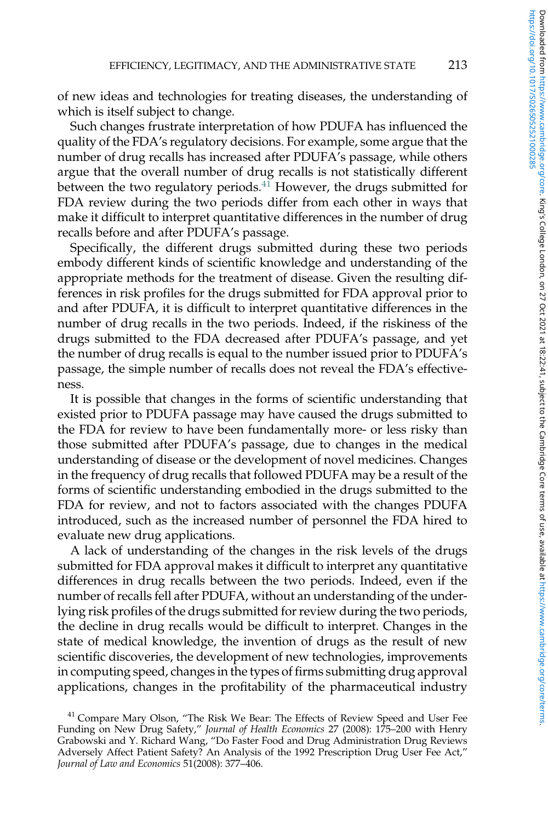of new ideas and technologies for treating diseases, the understanding of which is itself subject to change.

Such changes frustrate interpretation of how PDUFA has influenced the quality of the FDA's regulatory decisions. For example, some argue that the number of drug recalls has increased after PDUFA's passage, while others argue that the overall number of drug recalls is not statistically different between the two regulatory periods. $41$  However, the drugs submitted for FDA review during the two periods differ from each other in ways that make it difficult to interpret quantitative differences in the number of drug recalls before and after PDUFA's passage.

Specifically, the different drugs submitted during these two periods embody different kinds of scientific knowledge and understanding of the appropriate methods for the treatment of disease. Given the resulting differences in risk profiles for the drugs submitted for FDA approval prior to and after PDUFA, it is difficult to interpret quantitative differences in the number of drug recalls in the two periods. Indeed, if the riskiness of the drugs submitted to the FDA decreased after PDUFA's passage, and yet the number of drug recalls is equal to the number issued prior to PDUFA's passage, the simple number of recalls does not reveal the FDA's effectiveness.

It is possible that changes in the forms of scientific understanding that existed prior to PDUFA passage may have caused the drugs submitted to the FDA for review to have been fundamentally more- or less risky than those submitted after PDUFA's passage, due to changes in the medical understanding of disease or the development of novel medicines. Changes in the frequency of drug recalls that followed PDUFA may be a result of the forms of scientific understanding embodied in the drugs submitted to the FDA for review, and not to factors associated with the changes PDUFA introduced, such as the increased number of personnel the FDA hired to evaluate new drug applications.

A lack of understanding of the changes in the risk levels of the drugs submitted for FDA approval makes it difficult to interpret any quantitative differences in drug recalls between the two periods. Indeed, even if the number of recalls fell after PDUFA, without an understanding of the underlying risk profiles of the drugs submitted for review during the two periods, the decline in drug recalls would be difficult to interpret. Changes in the state of medical knowledge, the invention of drugs as the result of new scientific discoveries, the development of new technologies, improvements in computing speed, changes in the types of firms submitting drug approval applications, changes in the profitability of the pharmaceutical industry

<sup>&</sup>lt;sup>41</sup> Compare Mary Olson, "The Risk We Bear: The Effects of Review Speed and User Fee Funding on New Drug Safety," *Journal of Health Economics* 27 (2008): 175–200 with Henry Grabowski and Y. Richard Wang, "Do Faster Food and Drug Administration Drug Reviews Adversely Affect Patient Safety? An Analysis of the 1992 Prescription Drug User Fee Act," *Journal of Law and Economics* 51(2008): 377–406.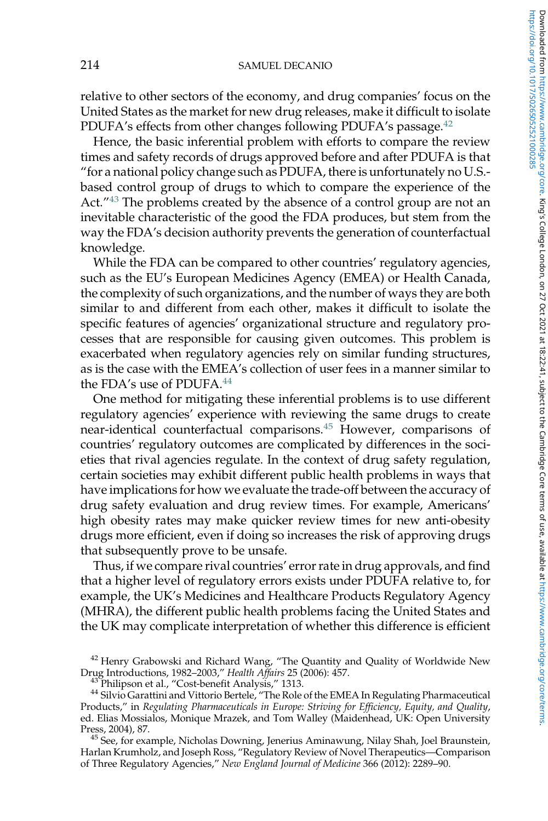#### 214 SAMUEL DECANIO

relative to other sectors of the economy, and drug companies' focus on the United States as the market for new drug releases, make it difficult to isolate PDUFA's effects from other changes following PDUFA's passage.<sup>42</sup>

Hence, the basic inferential problem with efforts to compare the review times and safety records of drugs approved before and after PDUFA is that "for a national policy change such as PDUFA, there is unfortunately no U.S. based control group of drugs to which to compare the experience of the Act." <sup>43</sup> The problems created by the absence of a control group are not an inevitable characteristic of the good the FDA produces, but stem from the way the FDA's decision authority prevents the generation of counterfactual knowledge.

While the FDA can be compared to other countries' regulatory agencies, such as the EU's European Medicines Agency (EMEA) or Health Canada, the complexity of such organizations, and the number of ways they are both similar to and different from each other, makes it difficult to isolate the specific features of agencies' organizational structure and regulatory processes that are responsible for causing given outcomes. This problem is exacerbated when regulatory agencies rely on similar funding structures, as is the case with the EMEA's collection of user fees in a manner similar to the FDA's use of PDUFA.<sup>44</sup>

One method for mitigating these inferential problems is to use different regulatory agencies' experience with reviewing the same drugs to create near-identical counterfactual comparisons.<sup>45</sup> However, comparisons of countries' regulatory outcomes are complicated by differences in the societies that rival agencies regulate. In the context of drug safety regulation, certain societies may exhibit different public health problems in ways that have implications for how we evaluate the trade-off between the accuracy of drug safety evaluation and drug review times. For example, Americans' high obesity rates may make quicker review times for new anti-obesity drugs more efficient, even if doing so increases the risk of approving drugs that subsequently prove to be unsafe.

Thus, if we compare rival countries' error rate in drug approvals, and find that a higher level of regulatory errors exists under PDUFA relative to, for example, the UK's Medicines and Healthcare Products Regulatory Agency (MHRA), the different public health problems facing the United States and the UK may complicate interpretation of whether this difference is efficient

<sup>&</sup>lt;sup>42</sup> Henry Grabowski and Richard Wang, "The Quantity and Quality of Worldwide New Drug Introductions, 1982–2003," *Health Affairs* 25 (2006): 457.

<sup>&</sup>lt;sup>43</sup> Philipson et al., "Cost-benefit Analysis," 1313.

<sup>44</sup> Silvio Garattini and Vittorio Bertele, "The Role of the EMEA In Regulating Pharmaceutical Products," in *Regulating Pharmaceuticals in Europe: Striving for Efficiency, Equity, and Quality*, ed. Elias Mossialos, Monique Mrazek, and Tom Walley (Maidenhead, UK: Open University Press, 2004), 87.

<sup>&</sup>lt;sup>45</sup> See, for example, Nicholas Downing, Jenerius Aminawung, Nilay Shah, Joel Braunstein, Harlan Krumholz, and Joseph Ross, "Regulatory Review of Novel Therapeutics—Comparison of Three Regulatory Agencies," *New England Journal of Medicine* 366 (2012): 2289–90.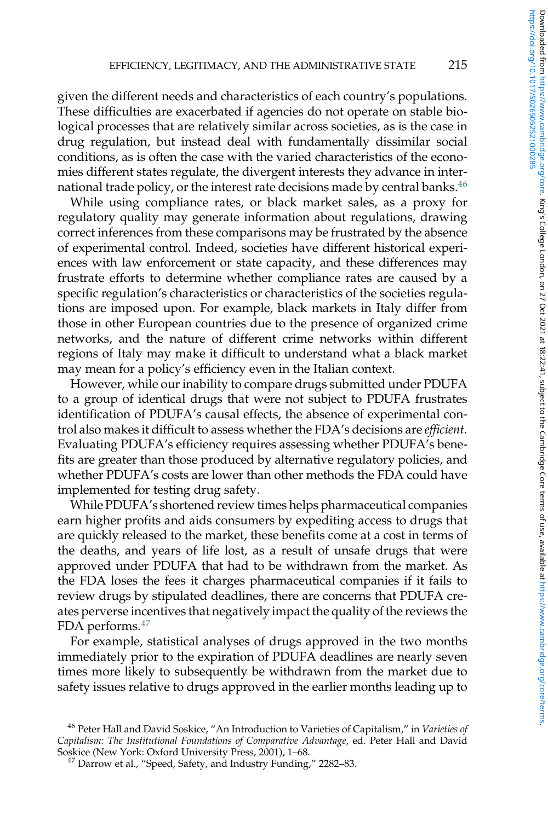given the different needs and characteristics of each country's populations. These difficulties are exacerbated if agencies do not operate on stable biological processes that are relatively similar across societies, as is the case in drug regulation, but instead deal with fundamentally dissimilar social conditions, as is often the case with the varied characteristics of the economies different states regulate, the divergent interests they advance in international trade policy, or the interest rate decisions made by central banks.<sup>46</sup>

While using compliance rates, or black market sales, as a proxy for regulatory quality may generate information about regulations, drawing correct inferences from these comparisons may be frustrated by the absence of experimental control. Indeed, societies have different historical experiences with law enforcement or state capacity, and these differences may frustrate efforts to determine whether compliance rates are caused by a specific regulation's characteristics or characteristics of the societies regulations are imposed upon. For example, black markets in Italy differ from those in other European countries due to the presence of organized crime networks, and the nature of different crime networks within different regions of Italy may make it difficult to understand what a black market may mean for a policy's efficiency even in the Italian context.

However, while our inability to compare drugs submitted under PDUFA to a group of identical drugs that were not subject to PDUFA frustrates identification of PDUFA's causal effects, the absence of experimental control also makes it difficult to assess whether the FDA's decisions are *efficient.* Evaluating PDUFA's efficiency requires assessing whether PDUFA's benefits are greater than those produced by alternative regulatory policies, and whether PDUFA's costs are lower than other methods the FDA could have implemented for testing drug safety.

While PDUFA's shortened review times helps pharmaceutical companies earn higher profits and aids consumers by expediting access to drugs that are quickly released to the market, these benefits come at a cost in terms of the deaths, and years of life lost, as a result of unsafe drugs that were approved under PDUFA that had to be withdrawn from the market. As the FDA loses the fees it charges pharmaceutical companies if it fails to review drugs by stipulated deadlines, there are concerns that PDUFA creates perverse incentives that negatively impact the quality of the reviews the FDA performs.<sup>47</sup>

For example, statistical analyses of drugs approved in the two months immediately prior to the expiration of PDUFA deadlines are nearly seven times more likely to subsequently be withdrawn from the market due to safety issues relative to drugs approved in the earlier months leading up to

<sup>46</sup> Peter Hall and David Soskice, "An Introduction to Varieties of Capitalism," in *Varieties of Capitalism: The Institutional Foundations of Comparative Advantage*, ed. Peter Hall and David Soskice (New York: Oxford University Press, 2001), 1–68.

<sup>&</sup>lt;sup>47</sup> Darrow et al., "Speed, Safety, and Industry Funding," 2282-83.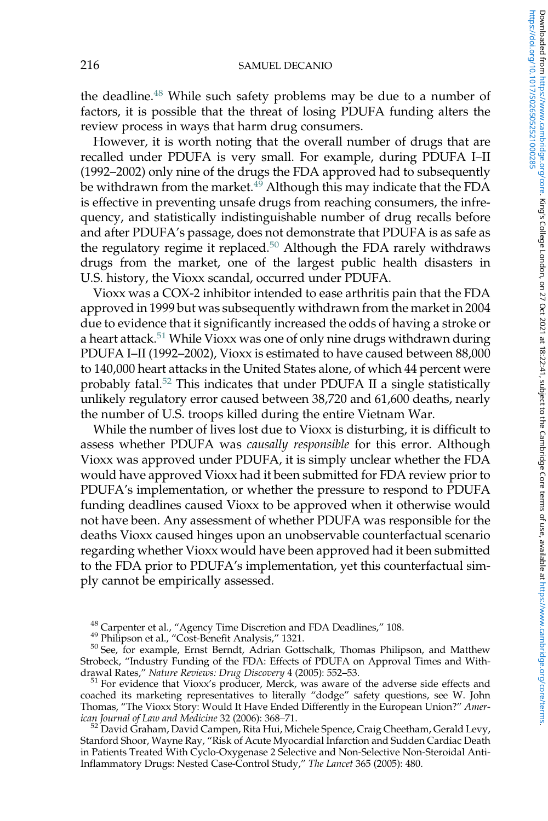the deadline.<sup>48</sup> While such safety problems may be due to a number of factors, it is possible that the threat of losing PDUFA funding alters the review process in ways that harm drug consumers.

However, it is worth noting that the overall number of drugs that are recalled under PDUFA is very small. For example, during PDUFA I–II (1992–2002) only nine of the drugs the FDA approved had to subsequently be withdrawn from the market.<sup>49</sup> Although this may indicate that the FDA is effective in preventing unsafe drugs from reaching consumers, the infrequency, and statistically indistinguishable number of drug recalls before and after PDUFA's passage, does not demonstrate that PDUFA is as safe as the regulatory regime it replaced. $50$  Although the FDA rarely withdraws drugs from the market, one of the largest public health disasters in U.S. history, the Vioxx scandal, occurred under PDUFA.

Vioxx was a COX-2 inhibitor intended to ease arthritis pain that the FDA approved in 1999 but was subsequently withdrawn from the market in 2004 due to evidence that it significantly increased the odds of having a stroke or a heart attack.<sup>51</sup> While Vioxx was one of only nine drugs withdrawn during PDUFA I–II (1992–2002), Vioxx is estimated to have caused between 88,000 to 140,000 heart attacks in the United States alone, of which 44 percent were probably fatal. $52$  This indicates that under PDUFA II a single statistically unlikely regulatory error caused between 38,720 and 61,600 deaths, nearly the number of U.S. troops killed during the entire Vietnam War.

While the number of lives lost due to Vioxx is disturbing, it is difficult to assess whether PDUFA was *causally responsible* for this error. Although Vioxx was approved under PDUFA, it is simply unclear whether the FDA would have approved Vioxx had it been submitted for FDA review prior to PDUFA's implementation, or whether the pressure to respond to PDUFA funding deadlines caused Vioxx to be approved when it otherwise would not have been. Any assessment of whether PDUFA was responsible for the deaths Vioxx caused hinges upon an unobservable counterfactual scenario regarding whether Vioxx would have been approved had it been submitted to the FDA prior to PDUFA's implementation, yet this counterfactual simply cannot be empirically assessed.

<sup>48</sup> Carpenter et al., "Agency Time Discretion and FDA Deadlines," 108.

<sup>51</sup> For evidence that Vioxx's producer, Merck, was aware of the adverse side effects and coached its marketing representatives to literally "dodge" safety questions, see W. John Thomas, "The Vioxx Story: Would It Have Ended Differently in the European Union?" *American Journal of Law and Medicine* 32 (2006): 368–71.

 $^{52}$  David Graham, David Campen, Rita Hui, Michele Spence, Craig Cheetham, Gerald Levy, Stanford Shoor, Wayne Ray, "Risk of Acute Myocardial Infarction and Sudden Cardiac Death in Patients Treated With Cyclo-Oxygenase 2 Selective and Non-Selective Non-Steroidal Anti-Inflammatory Drugs: Nested Case-Control Study," *The Lancet* 365 (2005): 480.

<sup>49</sup> Philipson et al., "Cost-Benefit Analysis," 1321.

<sup>50</sup> See, for example, Ernst Berndt, Adrian Gottschalk, Thomas Philipson, and Matthew Strobeck, "Industry Funding of the FDA: Effects of PDUFA on Approval Times and Withdrawal Rates," *Nature Reviews: Drug Discovery* 4 (2005): 552–53.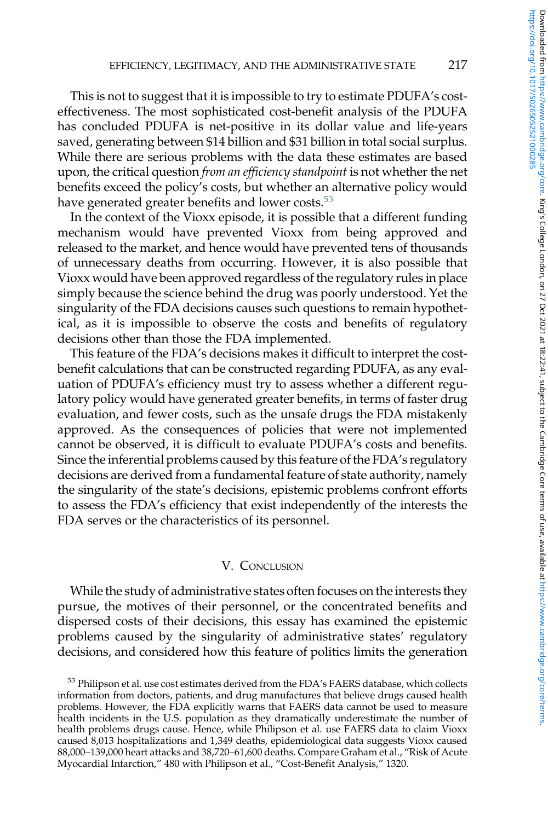This is not to suggest that it is impossible to try to estimate PDUFA's costeffectiveness. The most sophisticated cost-benefit analysis of the PDUFA has concluded PDUFA is net-positive in its dollar value and life-years saved, generating between \$14 billion and \$31 billion in total social surplus. While there are serious problems with the data these estimates are based upon, the critical question *from an efficiency standpoint* is not whether the net benefits exceed the policy's costs, but whether an alternative policy would have generated greater benefits and lower costs.<sup>53</sup>

In the context of the Vioxx episode, it is possible that a different funding mechanism would have prevented Vioxx from being approved and released to the market, and hence would have prevented tens of thousands of unnecessary deaths from occurring. However, it is also possible that Vioxx would have been approved regardless of the regulatory rules in place simply because the science behind the drug was poorly understood. Yet the singularity of the FDA decisions causes such questions to remain hypothetical, as it is impossible to observe the costs and benefits of regulatory decisions other than those the FDA implemented.

This feature of the FDA's decisions makes it difficult to interpret the costbenefit calculations that can be constructed regarding PDUFA, as any evaluation of PDUFA's efficiency must try to assess whether a different regulatory policy would have generated greater benefits, in terms of faster drug evaluation, and fewer costs, such as the unsafe drugs the FDA mistakenly approved. As the consequences of policies that were not implemented cannot be observed, it is difficult to evaluate PDUFA's costs and benefits. Since the inferential problems caused by this feature of the FDA's regulatory decisions are derived from a fundamental feature of state authority, namely the singularity of the state's decisions, epistemic problems confront efforts to assess the FDA's efficiency that exist independently of the interests the FDA serves or the characteristics of its personnel.

## V. CONCLUSION

While the study of administrative states often focuses on the interests they pursue, the motives of their personnel, or the concentrated benefits and dispersed costs of their decisions, this essay has examined the epistemic problems caused by the singularity of administrative states' regulatory decisions, and considered how this feature of politics limits the generation

<sup>&</sup>lt;sup>53</sup> Philipson et al. use cost estimates derived from the FDA's FAERS database, which collects information from doctors, patients, and drug manufactures that believe drugs caused health problems. However, the FDA explicitly warns that FAERS data cannot be used to measure health incidents in the U.S. population as they dramatically underestimate the number of health problems drugs cause. Hence, while Philipson et al. use FAERS data to claim Vioxx caused 8,013 hospitalizations and 1,349 deaths, epidemiological data suggests Vioxx caused 88,000–139,000 heart attacks and 38,720–61,600 deaths. Compare Graham et al., "Risk of Acute Myocardial Infarction," 480 with Philipson et al., "Cost-Benefit Analysis," 1320.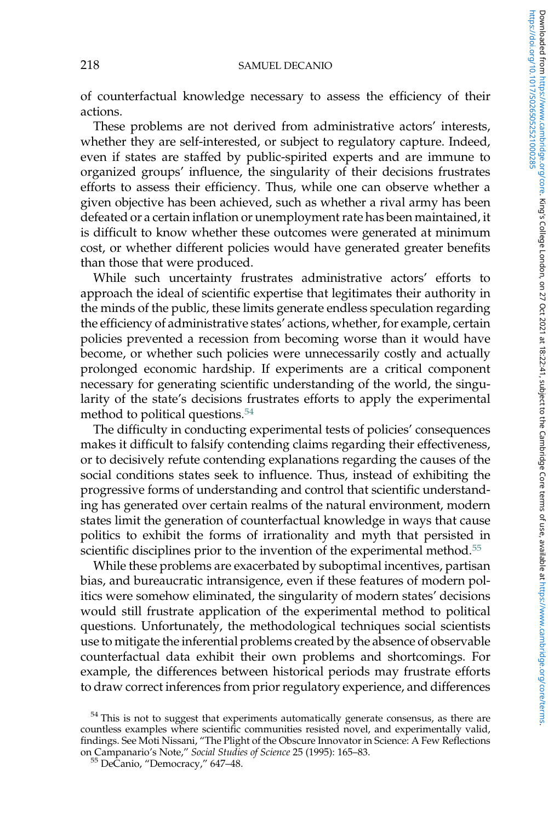of counterfactual knowledge necessary to assess the efficiency of their actions.

These problems are not derived from administrative actors' interests, whether they are self-interested, or subject to regulatory capture. Indeed, even if states are staffed by public-spirited experts and are immune to organized groups' influence, the singularity of their decisions frustrates efforts to assess their efficiency. Thus, while one can observe whether a given objective has been achieved, such as whether a rival army has been defeated or a certain inflation or unemployment rate has been maintained, it is difficult to know whether these outcomes were generated at minimum cost, or whether different policies would have generated greater benefits than those that were produced.

While such uncertainty frustrates administrative actors' efforts to approach the ideal of scientific expertise that legitimates their authority in the minds of the public, these limits generate endless speculation regarding the efficiency of administrative states' actions, whether, for example, certain policies prevented a recession from becoming worse than it would have become, or whether such policies were unnecessarily costly and actually prolonged economic hardship. If experiments are a critical component necessary for generating scientific understanding of the world, the singularity of the state's decisions frustrates efforts to apply the experimental method to political questions.<sup>54</sup>

The difficulty in conducting experimental tests of policies' consequences makes it difficult to falsify contending claims regarding their effectiveness, or to decisively refute contending explanations regarding the causes of the social conditions states seek to influence. Thus, instead of exhibiting the progressive forms of understanding and control that scientific understanding has generated over certain realms of the natural environment, modern states limit the generation of counterfactual knowledge in ways that cause politics to exhibit the forms of irrationality and myth that persisted in scientific disciplines prior to the invention of the experimental method.<sup>55</sup>

While these problems are exacerbated by suboptimal incentives, partisan bias, and bureaucratic intransigence, even if these features of modern politics were somehow eliminated, the singularity of modern states' decisions would still frustrate application of the experimental method to political questions. Unfortunately, the methodological techniques social scientists use to mitigate the inferential problems created by the absence of observable counterfactual data exhibit their own problems and shortcomings. For example, the differences between historical periods may frustrate efforts to draw correct inferences from prior regulatory experience, and differences

 $54$  This is not to suggest that experiments automatically generate consensus, as there are countless examples where scientific communities resisted novel, and experimentally valid, findings. See Moti Nissani, "The Plight of the Obscure Innovator in Science: A Few Reflections on Campanario's Note," *Social Studies of Science* 25 (1995): 165–83.

<sup>55</sup> DeCanio, "Democracy," 647–48.